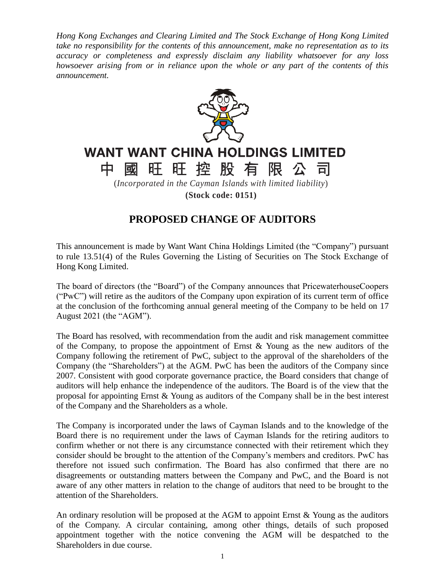*Hong Kong Exchanges and Clearing Limited and The Stock Exchange of Hong Kong Limited take no responsibility for the contents of this announcement, make no representation as to its accuracy or completeness and expressly disclaim any liability whatsoever for any loss howsoever arising from or in reliance upon the whole or any part of the contents of this announcement.*



## **WANT WANT CHINA HOLDINGS LIMITED**

旺旺控股有限公 中 國 司 (*Incorporated in the Cayman Islands with limited liability*)

**(Stock code: 0151)**

## **PROPOSED CHANGE OF AUDITORS**

This announcement is made by Want Want China Holdings Limited (the "Company") pursuant to rule 13.51(4) of the Rules Governing the Listing of Securities on The Stock Exchange of Hong Kong Limited.

The board of directors (the "Board") of the Company announces that PricewaterhouseCoopers ("PwC") will retire as the auditors of the Company upon expiration of its current term of office at the conclusion of the forthcoming annual general meeting of the Company to be held on 17 August 2021 (the "AGM").

The Board has resolved, with recommendation from the audit and risk management committee of the Company, to propose the appointment of Ernst & Young as the new auditors of the Company following the retirement of PwC, subject to the approval of the shareholders of the Company (the "Shareholders") at the AGM. PwC has been the auditors of the Company since 2007. Consistent with good corporate governance practice, the Board considers that change of auditors will help enhance the independence of the auditors. The Board is of the view that the proposal for appointing Ernst & Young as auditors of the Company shall be in the best interest of the Company and the Shareholders as a whole.

The Company is incorporated under the laws of Cayman Islands and to the knowledge of the Board there is no requirement under the laws of Cayman Islands for the retiring auditors to confirm whether or not there is any circumstance connected with their retirement which they consider should be brought to the attention of the Company's members and creditors. PwC has therefore not issued such confirmation. The Board has also confirmed that there are no disagreements or outstanding matters between the Company and PwC, and the Board is not aware of any other matters in relation to the change of auditors that need to be brought to the attention of the Shareholders.

An ordinary resolution will be proposed at the AGM to appoint Ernst & Young as the auditors of the Company. A circular containing, among other things, details of such proposed appointment together with the notice convening the AGM will be despatched to the Shareholders in due course.